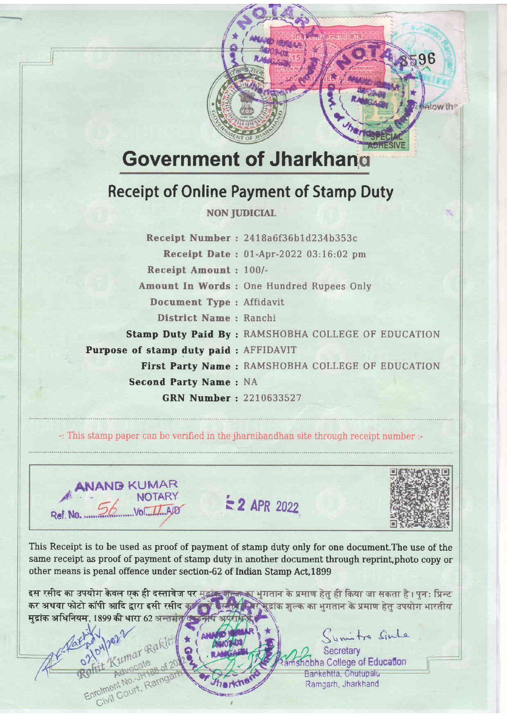## Government of Jharkhan

T;

**ह**<br>3

## Receipt of Online Payment of Stamp Duty

## NON JUDICIAL

Receipt Number : 2418a6f36b1d234b353c Receipt Date: 01-Apr-2022 03:16:02 pm Receipt Amount : 100/- Amount In Words : One Hundred Rupees Only Document Type : Affidavit District Name : Ranchi Stamp Duty Paid By : RAMSHOBHA COLLEGE OF EDUCATION Purpose of stamp duty paid : AFFIDAVIT First Party Name : RAMSHOBHA COLLEGE OF EDUCATION Second Party Name: NA GRN Number : 2210633527

-: This stamp paper can be verified in the jhamihandhan site through receipt number :-



umar Rakli

Adve<sub>-JH188</sub><br>nt No.-JH188<br>Court, Ramg

 $\approx$  2 APR 2022



 $36$ 

melow the

This Receipt is to be used as proof of payment of stamp duty only for one document.The use of the same receipt as proof of payment of stamp duty in another document through reprint, photo copy or other means is penal offence under section-62 of Indian Stamp Act, 1899

इस रसीद का उपयोग केवल एक ही दस्तावेज पर मुझ्के बाल्क का भुगतान के प्रमाण हेतु ही किया जा सकता है । पुनः प्रिन्ट<br>कर अथवा फोटो कॉपी आदि द्वारा इसी रसीद कर को बिस्तीर किर भूद्रांक शुल्क का भुगतान के प्रमाण हेतु उपयोग भारतीय मुद्रांक अधिनियम, 1899 की धारा 62 अन्तर्गत/त

> unitre Sinte **Secretary** hobha College of Education Bankehtta, Chutupalu Ramcarh, Jharkhand